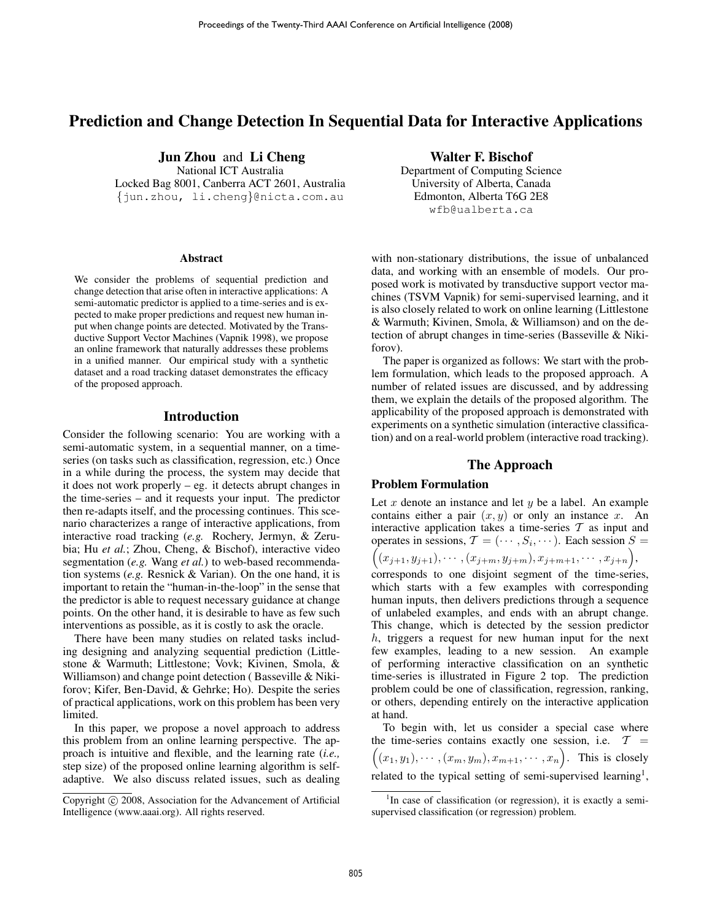# Prediction and Change Detection In Sequential Data for Interactive Applications

Jun Zhou and Li Cheng

National ICT Australia Locked Bag 8001, Canberra ACT 2601, Australia {jun.zhou, li.cheng}@nicta.com.au

#### Abstract

We consider the problems of sequential prediction and change detection that arise often in interactive applications: A semi-automatic predictor is applied to a time-series and is expected to make proper predictions and request new human input when change points are detected. Motivated by the Transductive Support Vector Machines (Vapnik 1998), we propose an online framework that naturally addresses these problems in a unified manner. Our empirical study with a synthetic dataset and a road tracking dataset demonstrates the efficacy of the proposed approach.

### Introduction

Consider the following scenario: You are working with a semi-automatic system, in a sequential manner, on a timeseries (on tasks such as classification, regression, etc.) Once in a while during the process, the system may decide that it does not work properly – eg. it detects abrupt changes in the time-series – and it requests your input. The predictor then re-adapts itself, and the processing continues. This scenario characterizes a range of interactive applications, from interactive road tracking (*e.g.* Rochery, Jermyn, & Zerubia; Hu *et al.*; Zhou, Cheng, & Bischof), interactive video segmentation (*e.g.* Wang *et al.*) to web-based recommendation systems (*e.g.* Resnick & Varian). On the one hand, it is important to retain the "human-in-the-loop" in the sense that the predictor is able to request necessary guidance at change points. On the other hand, it is desirable to have as few such interventions as possible, as it is costly to ask the oracle.

There have been many studies on related tasks including designing and analyzing sequential prediction (Littlestone & Warmuth; Littlestone; Vovk; Kivinen, Smola, & Williamson) and change point detection (Basseville & Nikiforov; Kifer, Ben-David, & Gehrke; Ho). Despite the series of practical applications, work on this problem has been very limited.

In this paper, we propose a novel approach to address this problem from an online learning perspective. The approach is intuitive and flexible, and the learning rate (*i.e.,* step size) of the proposed online learning algorithm is selfadaptive. We also discuss related issues, such as dealing Walter F. Bischof

Department of Computing Science University of Alberta, Canada Edmonton, Alberta T6G 2E8 wfb@ualberta.ca

with non-stationary distributions, the issue of unbalanced data, and working with an ensemble of models. Our proposed work is motivated by transductive support vector machines (TSVM Vapnik) for semi-supervised learning, and it is also closely related to work on online learning (Littlestone & Warmuth; Kivinen, Smola, & Williamson) and on the detection of abrupt changes in time-series (Basseville & Nikiforov).

The paper is organized as follows: We start with the problem formulation, which leads to the proposed approach. A number of related issues are discussed, and by addressing them, we explain the details of the proposed algorithm. The applicability of the proposed approach is demonstrated with experiments on a synthetic simulation (interactive classification) and on a real-world problem (interactive road tracking).

## The Approach

## Problem Formulation

Let x denote an instance and let  $y$  be a label. An example contains either a pair  $(x, y)$  or only an instance x. An interactive application takes a time-series  $T$  as input and operates in sessions,  $\mathcal{T} = (\cdots, S_i, \cdots)$ . Each session  $S =$ 

 $((x_{j+1}, y_{j+1}), \cdots, (x_{j+m}, y_{j+m}), x_{j+m+1}, \cdots, x_{j+n}),$ 

corresponds to one disjoint segment of the time-series, which starts with a few examples with corresponding human inputs, then delivers predictions through a sequence of unlabeled examples, and ends with an abrupt change. This change, which is detected by the session predictor h, triggers a request for new human input for the next few examples, leading to a new session. An example of performing interactive classification on an synthetic time-series is illustrated in Figure 2 top. The prediction problem could be one of classification, regression, ranking, or others, depending entirely on the interactive application at hand.

To begin with, let us consider a special case where the time-series contains exactly one session, i.e.  $T =$  $((x_1,y_1),\cdots,(x_m,y_m),x_{m+1},\cdots,x_n)$ . This is closely related to the typical setting of semi-supervised learning<sup>1</sup>,

Copyright © 2008, Association for the Advancement of Artificial Intelligence (www.aaai.org). All rights reserved.

<sup>&</sup>lt;sup>1</sup>In case of classification (or regression), it is exactly a semisupervised classification (or regression) problem.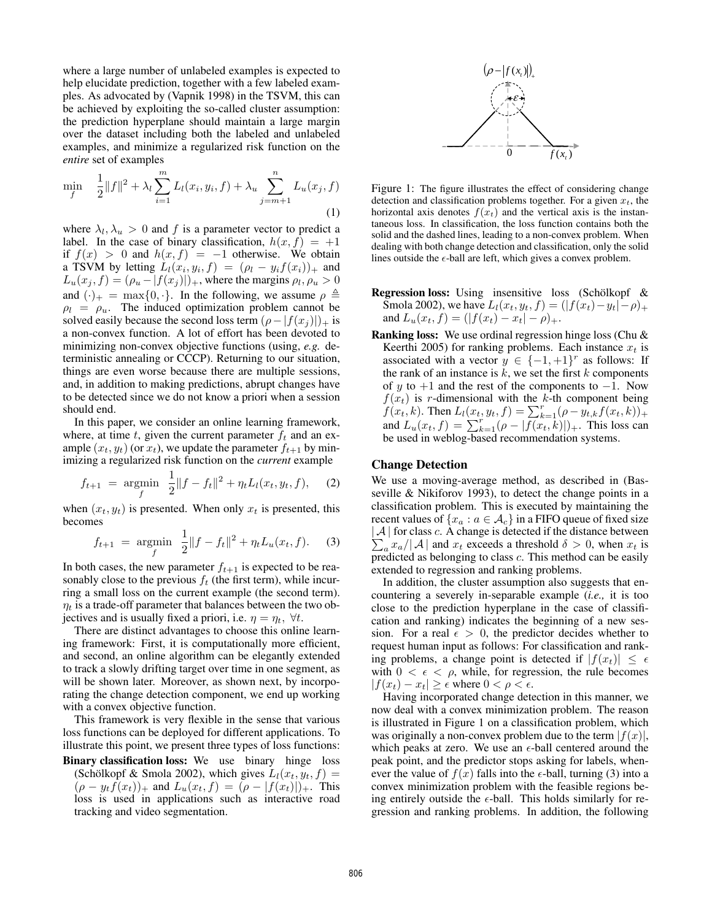where a large number of unlabeled examples is expected to help elucidate prediction, together with a few labeled examples. As advocated by (Vapnik 1998) in the TSVM, this can be achieved by exploiting the so-called cluster assumption: the prediction hyperplane should maintain a large margin over the dataset including both the labeled and unlabeled examples, and minimize a regularized risk function on the *entire* set of examples

$$
\min_{f} \quad \frac{1}{2} \|f\|^{2} + \lambda_{l} \sum_{i=1}^{m} L_{l}(x_{i}, y_{i}, f) + \lambda_{u} \sum_{j=m+1}^{n} L_{u}(x_{j}, f)
$$
\n(1)

where  $\lambda_l, \lambda_u > 0$  and f is a parameter vector to predict a label. In the case of binary classification,  $h(x, f) = +1$ if  $f(x) > 0$  and  $h(x, f) = -1$  otherwise. We obtain a TSVM by letting  $L_l(x_i, y_i, f) = (\rho_l - y_i f(x_i))_+$  and  $L_u(x_j, f) = (\rho_u - |f(x_j)|)_+$ , where the margins  $\rho_l, \rho_u > 0$ and  $(\cdot)_+ = \max\{0, \cdot\}.$  In the following, we assume  $\rho \triangleq$  $\rho_l = \rho_u$ . The induced optimization problem cannot be solved easily because the second loss term  $(\rho - |f(x_i)|)_{+}$  is a non-convex function. A lot of effort has been devoted to minimizing non-convex objective functions (using, *e.g.* deterministic annealing or CCCP). Returning to our situation, things are even worse because there are multiple sessions, and, in addition to making predictions, abrupt changes have to be detected since we do not know a priori when a session should end.

In this paper, we consider an online learning framework, where, at time t, given the current parameter  $f_t$  and an example  $(x_t, y_t)$  (or  $x_t$ ), we update the parameter  $f_{t+1}$  by minimizing a regularized risk function on the *current* example

$$
f_{t+1} = \underset{f}{\text{argmin}} \ \frac{1}{2} \|f - f_t\|^2 + \eta_t L_l(x_t, y_t, f), \quad (2)
$$

when  $(x_t, y_t)$  is presented. When only  $x_t$  is presented, this becomes

$$
f_{t+1} = \underset{f}{\text{argmin}} \ \frac{1}{2} \|f - f_t\|^2 + \eta_t L_u(x_t, f). \tag{3}
$$

In both cases, the new parameter  $f_{t+1}$  is expected to be reasonably close to the previous  $f_t$  (the first term), while incurring a small loss on the current example (the second term).  $\eta_t$  is a trade-off parameter that balances between the two objectives and is usually fixed a priori, i.e.  $\eta = \eta_t$ ,  $\forall t$ .

There are distinct advantages to choose this online learning framework: First, it is computationally more efficient, and second, an online algorithm can be elegantly extended to track a slowly drifting target over time in one segment, as will be shown later. Moreover, as shown next, by incorporating the change detection component, we end up working with a convex objective function.

This framework is very flexible in the sense that various loss functions can be deployed for different applications. To illustrate this point, we present three types of loss functions:

Binary classification loss: We use binary hinge loss (Schölkopf & Smola 2002), which gives  $L_l(x_t, y_t, f) =$  $(\rho - y_t f(x_t))_+$  and  $L_u(x_t, f) = (\rho - |f(x_t)|)_+$ . This loss is used in applications such as interactive road tracking and video segmentation.



Figure 1: The figure illustrates the effect of considering change detection and classification problems together. For a given  $x_t$ , the horizontal axis denotes  $f(x_t)$  and the vertical axis is the instantaneous loss. In classification, the loss function contains both the solid and the dashed lines, leading to a non-convex problem. When dealing with both change detection and classification, only the solid lines outside the  $\epsilon$ -ball are left, which gives a convex problem.

- **Regression loss:** Using insensitive loss (Schölkopf  $\&$ Smola 2002), we have  $L_l(x_t, y_t, f) = (|f(x_t) - y_t| - \rho)_+$ and  $L_u(x_t, f) = (|f(x_t) - x_t| - \rho)_+.$
- Ranking loss: We use ordinal regression hinge loss (Chu & Keerthi 2005) for ranking problems. Each instance  $x_t$  is associated with a vector  $y \in \{-1, +1\}^r$  as follows: If the rank of an instance is  $k$ , we set the first  $k$  components of y to  $+1$  and the rest of the components to  $-1$ . Now  $f(x_t)$  is r-dimensional with the k-th component being  $f(x_t, k)$ . Then  $L_l(x_t, y_t, f) = \sum_{k=1}^r (\rho - y_{t,k} f(x_t, k))_+$ and  $L_u(x_t, f) = \sum_{k=1}^{r} (\rho - |f(x_t, k)|)_{+}$ . This loss can be used in weblog-based recommendation systems.

## Change Detection

We use a moving-average method, as described in (Basseville & Nikiforov 1993), to detect the change points in a classification problem. This is executed by maintaining the recent values of  $\{x_a : a \in \mathcal{A}_c\}$  in a FIFO queue of fixed size  $|A|$  f  $\sum$ for class  $c$ . A change is detected if the distance between  $\int_a x_a / |\mathcal{A}|$  and  $x_t$  exceeds a threshold  $\delta > 0$ , when  $x_t$  is predicted as belonging to class c. This method can be easily extended to regression and ranking problems.

In addition, the cluster assumption also suggests that encountering a severely in-separable example (*i.e.,* it is too close to the prediction hyperplane in the case of classification and ranking) indicates the beginning of a new session. For a real  $\epsilon > 0$ , the predictor decides whether to request human input as follows: For classification and ranking problems, a change point is detected if  $|f(x_t)| \leq \epsilon$ with  $0 < \epsilon < \rho$ , while, for regression, the rule becomes  $|f(x_t) - x_t| \geq \epsilon$  where  $0 < \rho < \epsilon$ .

Having incorporated change detection in this manner, we now deal with a convex minimization problem. The reason is illustrated in Figure 1 on a classification problem, which was originally a non-convex problem due to the term  $|f(x)|$ , which peaks at zero. We use an  $\epsilon$ -ball centered around the peak point, and the predictor stops asking for labels, whenever the value of  $f(x)$  falls into the  $\epsilon$ -ball, turning (3) into a convex minimization problem with the feasible regions being entirely outside the  $\epsilon$ -ball. This holds similarly for regression and ranking problems. In addition, the following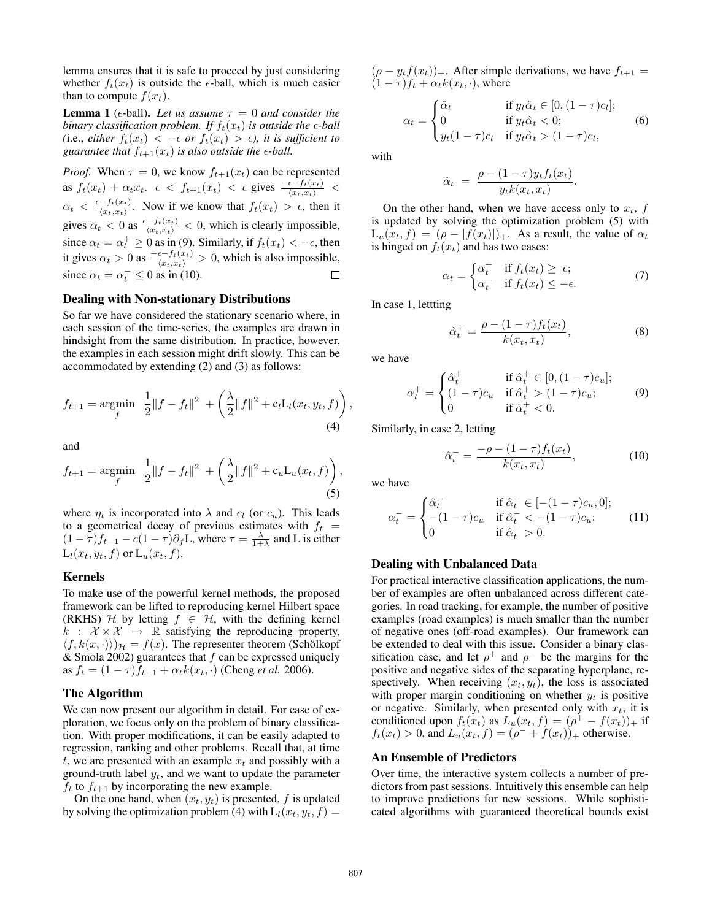lemma ensures that it is safe to proceed by just considering whether  $f_t(x_t)$  is outside the  $\epsilon$ -ball, which is much easier than to compute  $f(x_t)$ .

**Lemma 1** ( $\epsilon$ -ball). Let us assume  $\tau = 0$  and consider the *binary classification problem. If*  $f_t(x_t)$  *is outside the*  $\epsilon$ *-ball (i.e., either*  $f_t(x_t) < -\epsilon$  *or*  $f_t(x_t) > \epsilon$ *), it is sufficient to guarantee that*  $f_{t+1}(x_t)$  *is also outside the*  $\epsilon$ *-ball.* 

*Proof.* When  $\tau = 0$ , we know  $f_{t+1}(x_t)$  can be represented as  $f_t(x_t) + \alpha_t x_t$ .  $\epsilon < f_{t+1}(x_t) < \epsilon$  gives  $\frac{-\epsilon - f_t(x_t)}{\langle x_t, x_t \rangle}$  $\alpha_t \, < \, \frac{\epsilon - f_t(x_t)}{\langle x_t, x_t \rangle}$  $\frac{-J_t(x_t)}{\langle x_t, x_t \rangle}$ . Now if we know that  $f_t(x_t) > \epsilon$ , then it gives  $\alpha_t < 0$  as  $\frac{\epsilon - f_t(x_t)}{\langle x_t, x_t \rangle} < 0$ , which is clearly impossible, since  $\alpha_t = \alpha_t^+ \ge 0$  as in (9). Similarly, if  $f_t(x_t) < -\epsilon$ , then it gives  $\alpha_t > 0$  as  $\frac{-\epsilon - f_t(x_t)}{\langle x_t, x_t \rangle} > 0$ , which is also impossible, since  $\alpha_t = \alpha_t^- \leq 0$  as in (10).

### Dealing with Non-stationary Distributions

So far we have considered the stationary scenario where, in each session of the time-series, the examples are drawn in hindsight from the same distribution. In practice, however, the examples in each session might drift slowly. This can be accommodated by extending (2) and (3) as follows:

$$
f_{t+1} = \underset{f}{\text{argmin}} \quad \frac{1}{2} \|f - f_t\|^2 \; + \left(\frac{\lambda}{2} \|f\|^2 + c_l L_l(x_t, y_t, f)\right) \tag{4}
$$

and

$$
f_{t+1} = \underset{f}{\text{argmin}} \quad \frac{1}{2} \|f - f_t\|^2 \ + \left(\frac{\lambda}{2} \|f\|^2 + c_u \mathcal{L}_u(x_t, f)\right),\tag{5}
$$

where  $\eta_t$  is incorporated into  $\lambda$  and  $c_l$  (or  $c_u$ ). This leads to a geometrical decay of previous estimates with  $f_t =$  $(1 - \tau)f_{t-1} - c(1 - \tau)\partial_f L$ , where  $\tau = \frac{\lambda}{1 + \lambda}$  and L is either  $L_l(x_t, y_t, f)$  or  $L_u(x_t, f)$ .

#### Kernels

To make use of the powerful kernel methods, the proposed framework can be lifted to reproducing kernel Hilbert space (RKHS)  $H$  by letting  $f \in H$ , with the defining kernel  $k : \mathcal{X} \times \mathcal{X} \rightarrow \mathbb{R}$  satisfying the reproducing property,  $\langle f, k(x, \cdot) \rangle$  $\mathcal{H} = f(x)$ . The representer theorem (Schölkopf & Smola 2002) guarantees that  $f$  can be expressed uniquely as  $f_t = (1 - \tau) \bar{f}_{t-1} + \alpha_t k(x_t, \cdot)$  (Cheng *et al.* 2006).

#### The Algorithm

We can now present our algorithm in detail. For ease of exploration, we focus only on the problem of binary classification. With proper modifications, it can be easily adapted to regression, ranking and other problems. Recall that, at time t, we are presented with an example  $x_t$  and possibly with a ground-truth label  $y_t$ , and we want to update the parameter  $f_t$  to  $f_{t+1}$  by incorporating the new example.

On the one hand, when  $(x_t, y_t)$  is presented, f is updated by solving the optimization problem (4) with  $L_l(x_t, y_t, f) =$ 

 $(\rho - y_t f(x_t))_{+}$ . After simple derivations, we have  $f_{t+1} =$  $(1 - \tau) f_t + \alpha_t k(x_t, \cdot)$ , where

$$
\alpha_t = \begin{cases} \hat{\alpha}_t & \text{if } y_t \hat{\alpha}_t \in [0, (1-\tau)c_l]; \\ 0 & \text{if } y_t \hat{\alpha}_t < 0; \\ y_t (1-\tau)c_l & \text{if } y_t \hat{\alpha}_t > (1-\tau)c_l, \end{cases}
$$
(6)

with

$$
\hat{\alpha}_t = \frac{\rho - (1 - \tau) y_t f_t(x_t)}{y_t k(x_t, x_t)}.
$$

On the other hand, when we have access only to  $x_t$ , f is updated by solving the optimization problem (5) with  $L_u(x_t, f) = (\rho - |f(x_t)|)_+$ . As a result, the value of  $\alpha_t$ is hinged on  $f_t(x_t)$  and has two cases:

$$
\alpha_t = \begin{cases} \alpha_t^+ & \text{if } f_t(x_t) \ge \epsilon; \\ \alpha_t^- & \text{if } f_t(x_t) \le -\epsilon. \end{cases} \tag{7}
$$

In case 1, lettting

$$
\hat{\alpha}_t^+ = \frac{\rho - (1 - \tau) f_t(x_t)}{k(x_t, x_t)},
$$
\n(8)

we have

,

$$
\alpha_t^+ = \begin{cases}\n\hat{\alpha}_t^+ & \text{if } \hat{\alpha}_t^+ \in [0, (1-\tau)c_u]; \\
(1-\tau)c_u & \text{if } \hat{\alpha}_t^+ > (1-\tau)c_u; \\
0 & \text{if } \hat{\alpha}_t^+ < 0.\n\end{cases}
$$
\n(9)

Similarly, in case 2, letting

$$
\hat{\alpha}_t^- = \frac{-\rho - (1 - \tau) f_t(x_t)}{k(x_t, x_t)},
$$
\n(10)

we have

$$
\alpha_t^- = \begin{cases}\n\hat{\alpha}_t^- & \text{if } \hat{\alpha}_t^- \in [-(1-\tau)c_u, 0]; \\
-(1-\tau)c_u & \text{if } \hat{\alpha}_t^- < -(1-\tau)c_u; \\
0 & \text{if } \hat{\alpha}_t^- > 0.\n\end{cases} (11)
$$

#### Dealing with Unbalanced Data

For practical interactive classification applications, the number of examples are often unbalanced across different categories. In road tracking, for example, the number of positive examples (road examples) is much smaller than the number of negative ones (off-road examples). Our framework can be extended to deal with this issue. Consider a binary classification case, and let  $\rho^+$  and  $\rho^-$  be the margins for the positive and negative sides of the separating hyperplane, respectively. When receiving  $(x_t, y_t)$ , the loss is associated with proper margin conditioning on whether  $y_t$  is positive or negative. Similarly, when presented only with  $x_t$ , it is conditioned upon  $f_t(x_t)$  as  $L_u(x_t, f) = (\rho^+ - f(x_t))_+$  if  $f_t(x_t) > 0$ , and  $L_u(x_t, f) = (\rho^{-} + f(x_t))_{+}$  otherwise.

#### An Ensemble of Predictors

Over time, the interactive system collects a number of predictors from past sessions. Intuitively this ensemble can help to improve predictions for new sessions. While sophisticated algorithms with guaranteed theoretical bounds exist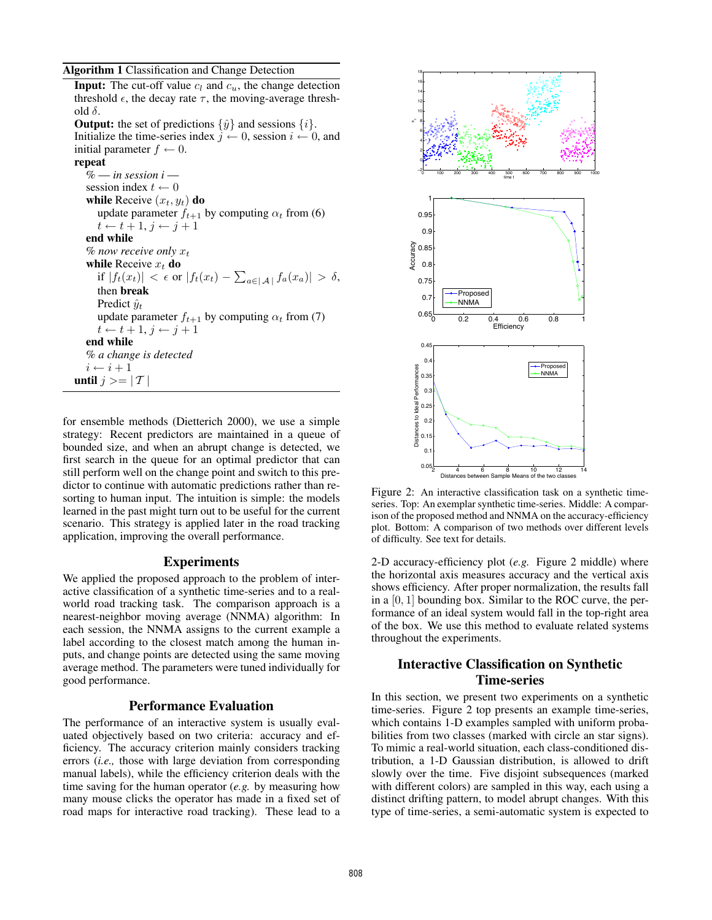### Algorithm 1 Classification and Change Detection

**Input:** The cut-off value  $c_l$  and  $c_u$ , the change detection threshold  $\epsilon$ , the decay rate  $\tau$ , the moving-average threshold  $\delta$ . **Output:** the set of predictions  $\{\hat{y}\}\$  and sessions  $\{i\}$ . Initialize the time-series index  $j \leftarrow 0$ , session  $i \leftarrow 0$ , and initial parameter  $f \leftarrow 0$ . repeat % — *in session i* session index  $t \leftarrow 0$ while Receive  $(x_t, y_t)$  do update parameter  $f_{t+1}$  by computing  $\alpha_t$  from (6)  $t \leftarrow t + 1, j \leftarrow j + 1$ end while  $%$  *now receive only x<sub>t</sub>* while Receive  $x_t$  do if  $|f_t(x_t)| < \epsilon$  or  $|f_t(x_t) - \sum_{a \in |\mathcal{A}|} f_a(x_a)| > \delta$ , then break Predict  $\hat{y}_t$ update parameter  $f_{t+1}$  by computing  $\alpha_t$  from (7)  $t \leftarrow t + 1, j \leftarrow j + 1$ end while % *a change is detected*  $i \leftarrow i + 1$ until  $j >= | T$ 

for ensemble methods (Dietterich 2000), we use a simple strategy: Recent predictors are maintained in a queue of bounded size, and when an abrupt change is detected, we first search in the queue for an optimal predictor that can still perform well on the change point and switch to this predictor to continue with automatic predictions rather than resorting to human input. The intuition is simple: the models learned in the past might turn out to be useful for the current scenario. This strategy is applied later in the road tracking application, improving the overall performance.

## Experiments

We applied the proposed approach to the problem of interactive classification of a synthetic time-series and to a realworld road tracking task. The comparison approach is a nearest-neighbor moving average (NNMA) algorithm: In each session, the NNMA assigns to the current example a label according to the closest match among the human inputs, and change points are detected using the same moving average method. The parameters were tuned individually for good performance.

## Performance Evaluation

The performance of an interactive system is usually evaluated objectively based on two criteria: accuracy and efficiency. The accuracy criterion mainly considers tracking errors (*i.e.,* those with large deviation from corresponding manual labels), while the efficiency criterion deals with the time saving for the human operator (*e.g.* by measuring how many mouse clicks the operator has made in a fixed set of road maps for interactive road tracking). These lead to a



Figure 2: An interactive classification task on a synthetic timeseries. Top: An exemplar synthetic time-series. Middle: A comparison of the proposed method and NNMA on the accuracy-efficiency plot. Bottom: A comparison of two methods over different levels of difficulty. See text for details.

2-D accuracy-efficiency plot (*e.g.* Figure 2 middle) where the horizontal axis measures accuracy and the vertical axis shows efficiency. After proper normalization, the results fall in a  $[0, 1]$  bounding box. Similar to the ROC curve, the performance of an ideal system would fall in the top-right area of the box. We use this method to evaluate related systems throughout the experiments.

## Interactive Classification on Synthetic Time-series

In this section, we present two experiments on a synthetic time-series. Figure 2 top presents an example time-series, which contains 1-D examples sampled with uniform probabilities from two classes (marked with circle an star signs). To mimic a real-world situation, each class-conditioned distribution, a 1-D Gaussian distribution, is allowed to drift slowly over the time. Five disjoint subsequences (marked with different colors) are sampled in this way, each using a distinct drifting pattern, to model abrupt changes. With this type of time-series, a semi-automatic system is expected to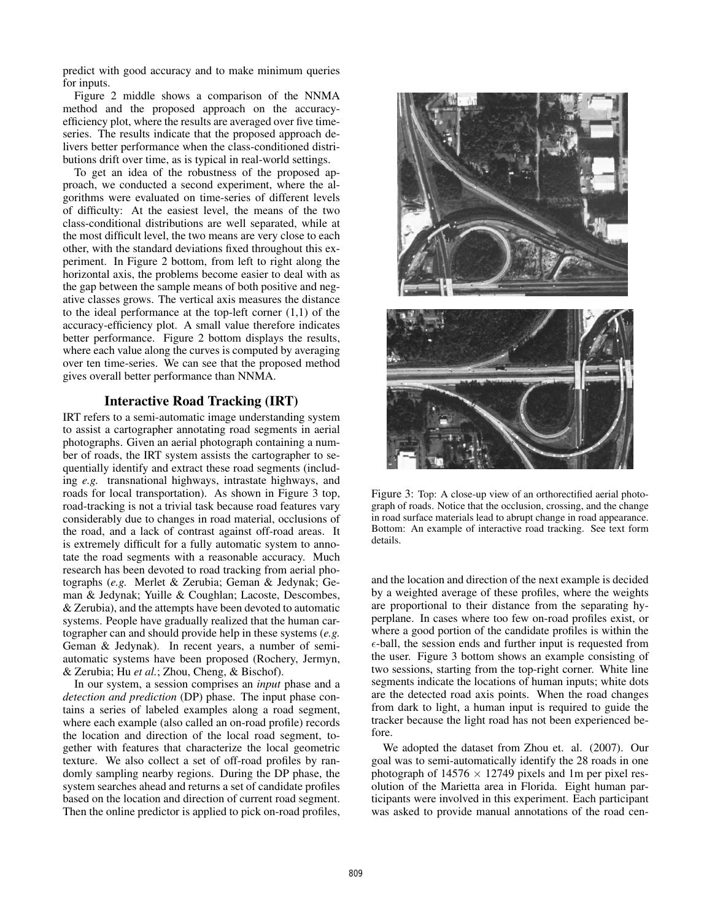predict with good accuracy and to make minimum queries for inputs.

Figure 2 middle shows a comparison of the NNMA method and the proposed approach on the accuracyefficiency plot, where the results are averaged over five timeseries. The results indicate that the proposed approach delivers better performance when the class-conditioned distributions drift over time, as is typical in real-world settings.

To get an idea of the robustness of the proposed approach, we conducted a second experiment, where the algorithms were evaluated on time-series of different levels of difficulty: At the easiest level, the means of the two class-conditional distributions are well separated, while at the most difficult level, the two means are very close to each other, with the standard deviations fixed throughout this experiment. In Figure 2 bottom, from left to right along the horizontal axis, the problems become easier to deal with as the gap between the sample means of both positive and negative classes grows. The vertical axis measures the distance to the ideal performance at the top-left corner (1,1) of the accuracy-efficiency plot. A small value therefore indicates better performance. Figure 2 bottom displays the results, where each value along the curves is computed by averaging over ten time-series. We can see that the proposed method gives overall better performance than NNMA.

## Interactive Road Tracking (IRT)

IRT refers to a semi-automatic image understanding system to assist a cartographer annotating road segments in aerial photographs. Given an aerial photograph containing a number of roads, the IRT system assists the cartographer to sequentially identify and extract these road segments (including *e.g.* transnational highways, intrastate highways, and roads for local transportation). As shown in Figure 3 top, road-tracking is not a trivial task because road features vary considerably due to changes in road material, occlusions of the road, and a lack of contrast against off-road areas. It is extremely difficult for a fully automatic system to annotate the road segments with a reasonable accuracy. Much research has been devoted to road tracking from aerial photographs (*e.g.* Merlet & Zerubia; Geman & Jedynak; Geman & Jedynak; Yuille & Coughlan; Lacoste, Descombes, & Zerubia), and the attempts have been devoted to automatic systems. People have gradually realized that the human cartographer can and should provide help in these systems (*e.g.* Geman & Jedynak). In recent years, a number of semiautomatic systems have been proposed (Rochery, Jermyn, & Zerubia; Hu *et al.*; Zhou, Cheng, & Bischof).

In our system, a session comprises an *input* phase and a *detection and prediction* (DP) phase. The input phase contains a series of labeled examples along a road segment, where each example (also called an on-road profile) records the location and direction of the local road segment, together with features that characterize the local geometric texture. We also collect a set of off-road profiles by randomly sampling nearby regions. During the DP phase, the system searches ahead and returns a set of candidate profiles based on the location and direction of current road segment. Then the online predictor is applied to pick on-road profiles,



Figure 3: Top: A close-up view of an orthorectified aerial photograph of roads. Notice that the occlusion, crossing, and the change in road surface materials lead to abrupt change in road appearance. Bottom: An example of interactive road tracking. See text form details.

and the location and direction of the next example is decided by a weighted average of these profiles, where the weights are proportional to their distance from the separating hyperplane. In cases where too few on-road profiles exist, or where a good portion of the candidate profiles is within the  $\epsilon$ -ball, the session ends and further input is requested from the user. Figure 3 bottom shows an example consisting of two sessions, starting from the top-right corner. White line segments indicate the locations of human inputs; white dots are the detected road axis points. When the road changes from dark to light, a human input is required to guide the tracker because the light road has not been experienced before.

We adopted the dataset from Zhou et. al. (2007). Our goal was to semi-automatically identify the 28 roads in one photograph of  $14576 \times 12749$  pixels and 1m per pixel resolution of the Marietta area in Florida. Eight human participants were involved in this experiment. Each participant was asked to provide manual annotations of the road cen